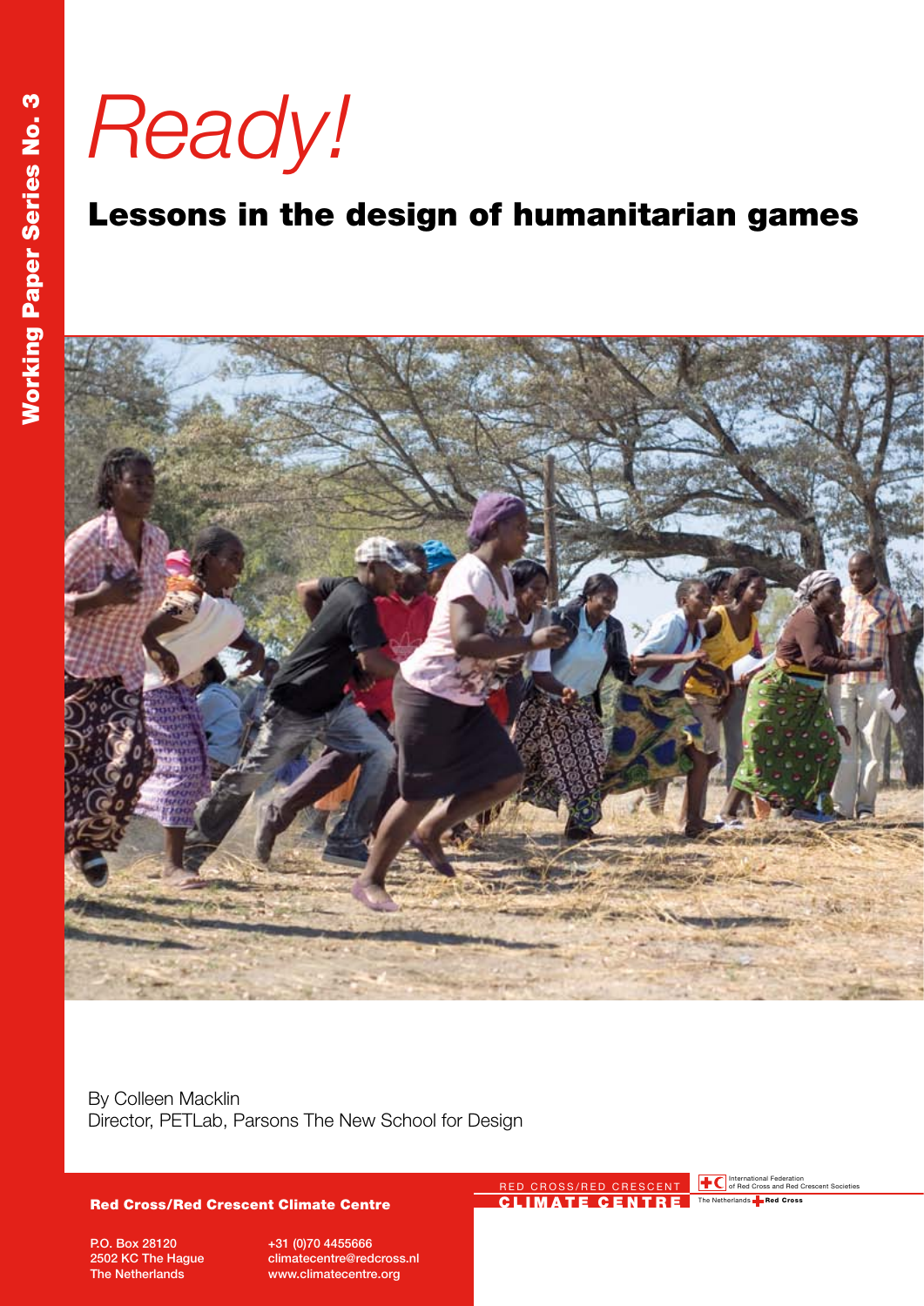*Ready!*

# Lessons in the design of humanitarian games



By Colleen Macklin Director, PETLab, Parsons The New School for Design

#### Red Cross/Red Crescent Climate Centre

P.O. Box 28120 2502 KC The Hague The Netherlands

+31 (0)70 4455666 climatecentre@redcross.nl www.climatecentre.org

RED CROSS/RED CRESCENT **THE C**International Federation Crescent Societies CLIMATE CENTRE

The Netherlands **Red Cross**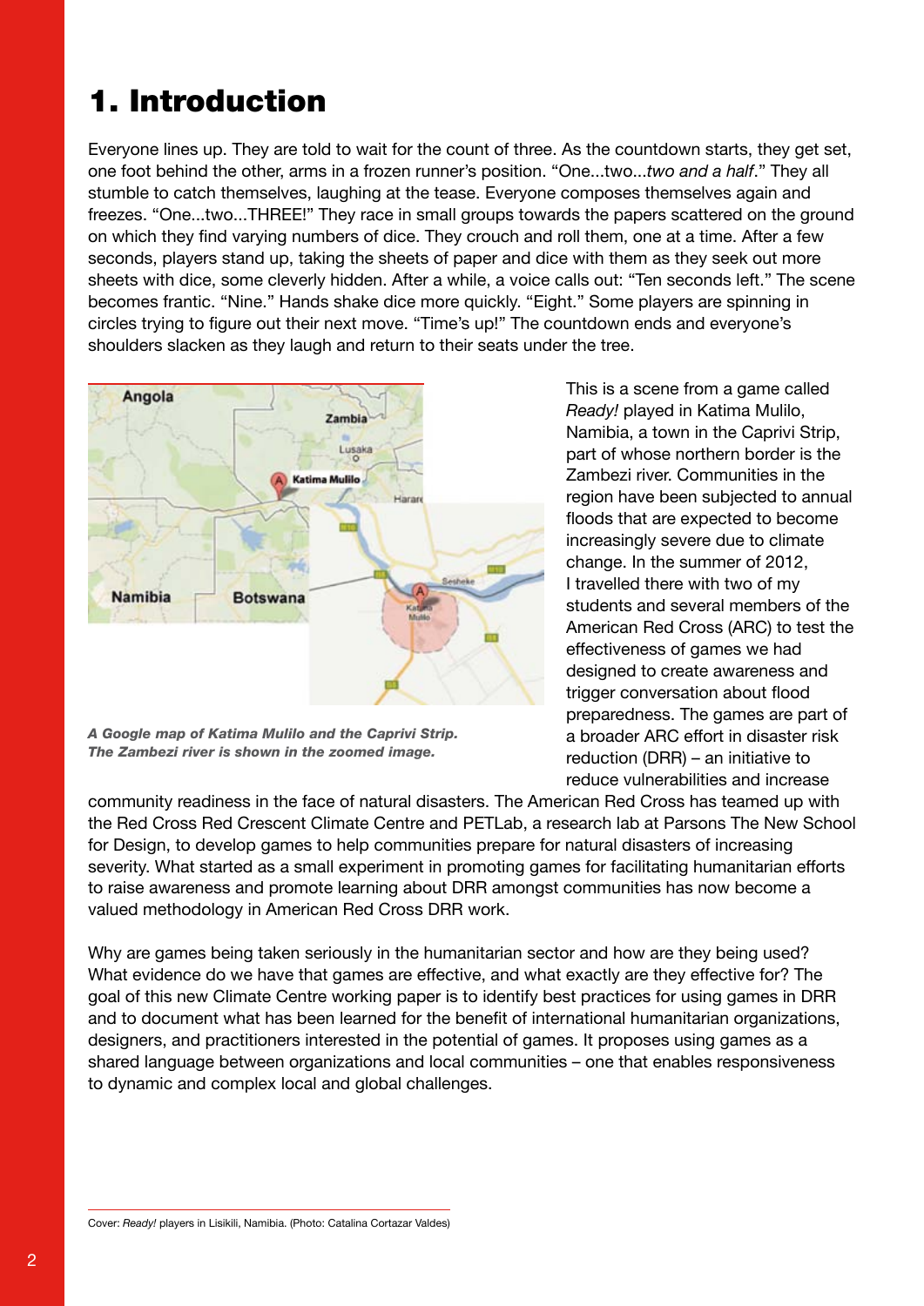## 1. Introduction

Everyone lines up. They are told to wait for the count of three. As the countdown starts, they get set, one foot behind the other, arms in a frozen runner's position. "One...two...*two and a half*." They all stumble to catch themselves, laughing at the tease. Everyone composes themselves again and freezes. "One...two...THREE!" They race in small groups towards the papers scattered on the ground on which they find varying numbers of dice. They crouch and roll them, one at a time. After a few seconds, players stand up, taking the sheets of paper and dice with them as they seek out more sheets with dice, some cleverly hidden. After a while, a voice calls out: "Ten seconds left." The scene becomes frantic. "Nine." Hands shake dice more quickly. "Eight." Some players are spinning in circles trying to figure out their next move. "Time's up!" The countdown ends and everyone's shoulders slacken as they laugh and return to their seats under the tree.



*A Google map of Katima Mulilo and the Caprivi Strip. The Zambezi river is shown in the zoomed image.*

This is a scene from a game called *Ready!* played in Katima Mulilo, Namibia, a town in the Caprivi Strip, part of whose northern border is the Zambezi river. Communities in the region have been subjected to annual floods that are expected to become increasingly severe due to climate change. In the summer of 2012, I travelled there with two of my students and several members of the American Red Cross (ARC) to test the effectiveness of games we had designed to create awareness and trigger conversation about flood preparedness. The games are part of a broader ARC effort in disaster risk reduction (DRR) – an initiative to reduce vulnerabilities and increase

community readiness in the face of natural disasters. The American Red Cross has teamed up with the Red Cross Red Crescent Climate Centre and PETLab, a research lab at Parsons The New School for Design, to develop games to help communities prepare for natural disasters of increasing severity. What started as a small experiment in promoting games for facilitating humanitarian efforts to raise awareness and promote learning about DRR amongst communities has now become a valued methodology in American Red Cross DRR work.

Why are games being taken seriously in the humanitarian sector and how are they being used? What evidence do we have that games are effective, and what exactly are they effective for? The goal of this new Climate Centre working paper is to identify best practices for using games in DRR and to document what has been learned for the benefit of international humanitarian organizations, designers, and practitioners interested in the potential of games. It proposes using games as a shared language between organizations and local communities – one that enables responsiveness to dynamic and complex local and global challenges.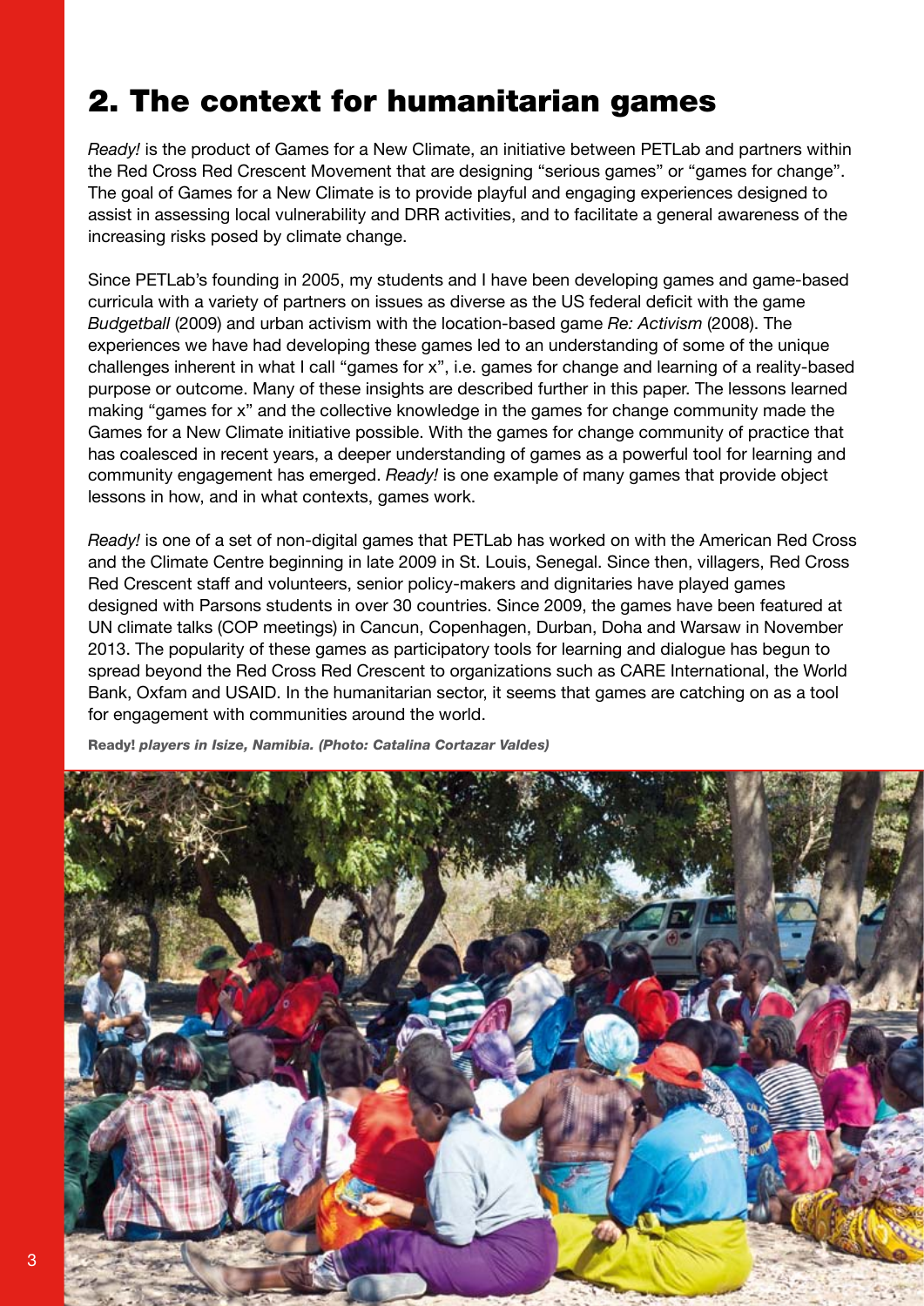# 2. The context for humanitarian games

*Ready!* is the product of Games for a New Climate, an initiative between PETLab and partners within the Red Cross Red Crescent Movement that are designing "serious games" or "games for change". The goal of Games for a New Climate is to provide playful and engaging experiences designed to assist in assessing local vulnerability and DRR activities, and to facilitate a general awareness of the increasing risks posed by climate change.

Since PETLab's founding in 2005, my students and I have been developing games and game-based curricula with a variety of partners on issues as diverse as the US federal deficit with the game *Budgetball* (2009) and urban activism with the location-based game *Re: Activism* (2008). The experiences we have had developing these games led to an understanding of some of the unique challenges inherent in what I call "games for x", i.e. games for change and learning of a reality-based purpose or outcome. Many of these insights are described further in this paper. The lessons learned making "games for x" and the collective knowledge in the games for change community made the Games for a New Climate initiative possible. With the games for change community of practice that has coalesced in recent years, a deeper understanding of games as a powerful tool for learning and community engagement has emerged. *Ready!* is one example of many games that provide object lessons in how, and in what contexts, games work.

*Ready!* is one of a set of non-digital games that PETLab has worked on with the American Red Cross and the Climate Centre beginning in late 2009 in St. Louis, Senegal. Since then, villagers, Red Cross Red Crescent staff and volunteers, senior policy-makers and dignitaries have played games designed with Parsons students in over 30 countries. Since 2009, the games have been featured at UN climate talks (COP meetings) in Cancun, Copenhagen, Durban, Doha and Warsaw in November 2013. The popularity of these games as participatory tools for learning and dialogue has begun to spread beyond the Red Cross Red Crescent to organizations such as CARE International, the World Bank, Oxfam and USAID. In the humanitarian sector, it seems that games are catching on as a tool for engagement with communities around the world.

Ready! *players in Isize, Namibia. (Photo: Catalina Cortazar Valdes)*

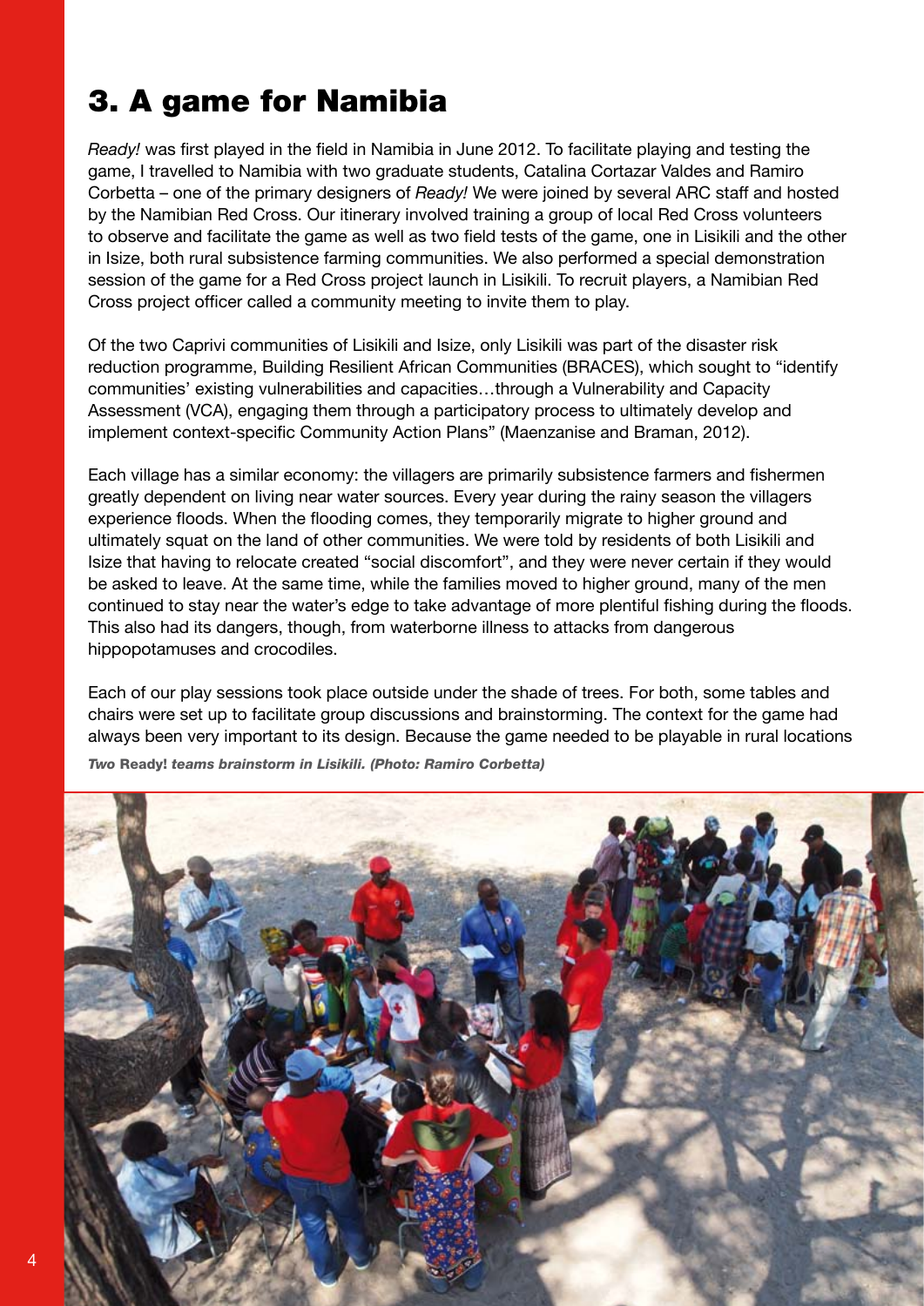# 3. A game for Namibia

*Ready!* was first played in the field in Namibia in June 2012. To facilitate playing and testing the game, I travelled to Namibia with two graduate students, Catalina Cortazar Valdes and Ramiro Corbetta – one of the primary designers of *Ready!* We were joined by several ARC staff and hosted by the Namibian Red Cross. Our itinerary involved training a group of local Red Cross volunteers to observe and facilitate the game as well as two field tests of the game, one in Lisikili and the other in Isize, both rural subsistence farming communities. We also performed a special demonstration session of the game for a Red Cross project launch in Lisikili. To recruit players, a Namibian Red Cross project officer called a community meeting to invite them to play.

Of the two Caprivi communities of Lisikili and Isize, only Lisikili was part of the disaster risk reduction programme, Building Resilient African Communities (BRACES), which sought to "identify communities' existing vulnerabilities and capacities…through a Vulnerability and Capacity Assessment (VCA), engaging them through a participatory process to ultimately develop and implement context-specific Community Action Plans" (Maenzanise and Braman, 2012).

Each village has a similar economy: the villagers are primarily subsistence farmers and fishermen greatly dependent on living near water sources. Every year during the rainy season the villagers experience floods. When the flooding comes, they temporarily migrate to higher ground and ultimately squat on the land of other communities. We were told by residents of both Lisikili and Isize that having to relocate created "social discomfort", and they were never certain if they would be asked to leave. At the same time, while the families moved to higher ground, many of the men continued to stay near the water's edge to take advantage of more plentiful fishing during the floods. This also had its dangers, though, from waterborne illness to attacks from dangerous hippopotamuses and crocodiles.

Each of our play sessions took place outside under the shade of trees. For both, some tables and chairs were set up to facilitate group discussions and brainstorming. The context for the game had always been very important to its design. Because the game needed to be playable in rural locations

*Two* Ready! *teams brainstorm in Lisikili. (Photo: Ramiro Corbetta)*

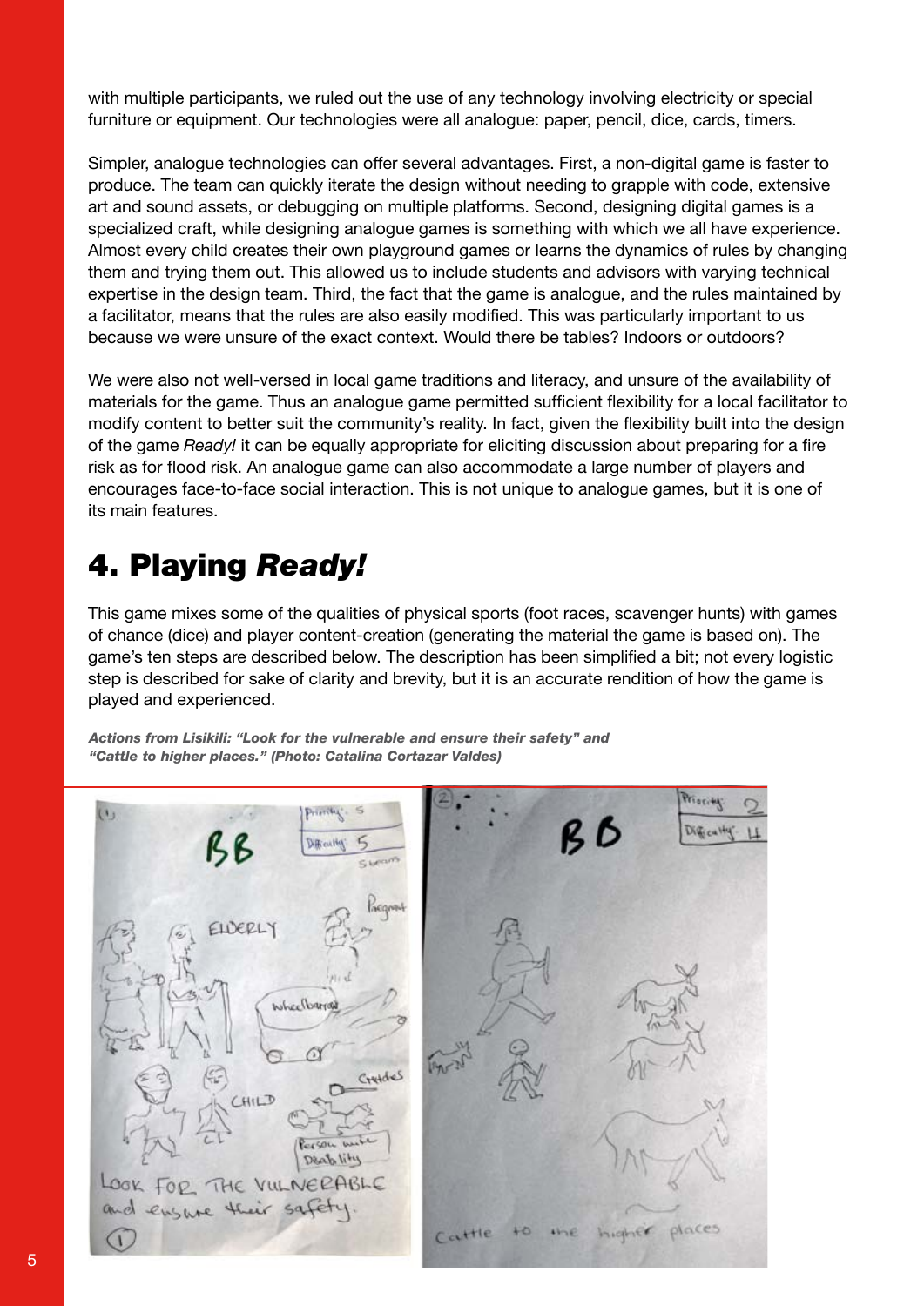with multiple participants, we ruled out the use of any technology involving electricity or special furniture or equipment. Our technologies were all analogue: paper, pencil, dice, cards, timers.

Simpler, analogue technologies can offer several advantages. First, a non-digital game is faster to produce. The team can quickly iterate the design without needing to grapple with code, extensive art and sound assets, or debugging on multiple platforms. Second, designing digital games is a specialized craft, while designing analogue games is something with which we all have experience. Almost every child creates their own playground games or learns the dynamics of rules by changing them and trying them out. This allowed us to include students and advisors with varying technical expertise in the design team. Third, the fact that the game is analogue, and the rules maintained by a facilitator, means that the rules are also easily modified. This was particularly important to us because we were unsure of the exact context. Would there be tables? Indoors or outdoors?

We were also not well-versed in local game traditions and literacy, and unsure of the availability of materials for the game. Thus an analogue game permitted sufficient flexibility for a local facilitator to modify content to better suit the community's reality. In fact, given the flexibility built into the design of the game *Ready!* it can be equally appropriate for eliciting discussion about preparing for a fire risk as for flood risk. An analogue game can also accommodate a large number of players and encourages face-to-face social interaction. This is not unique to analogue games, but it is one of its main features.

# 4. Playing *Ready!*

This game mixes some of the qualities of physical sports (foot races, scavenger hunts) with games of chance (dice) and player content-creation (generating the material the game is based on). The game's ten steps are described below. The description has been simplified a bit; not every logistic step is described for sake of clarity and brevity, but it is an accurate rendition of how the game is played and experienced.

*Actions from Lisikili: "Look for the vulnerable and ensure their safety" and "Cattle to higher places." (Photo: Catalina Cortazar Valdes)*

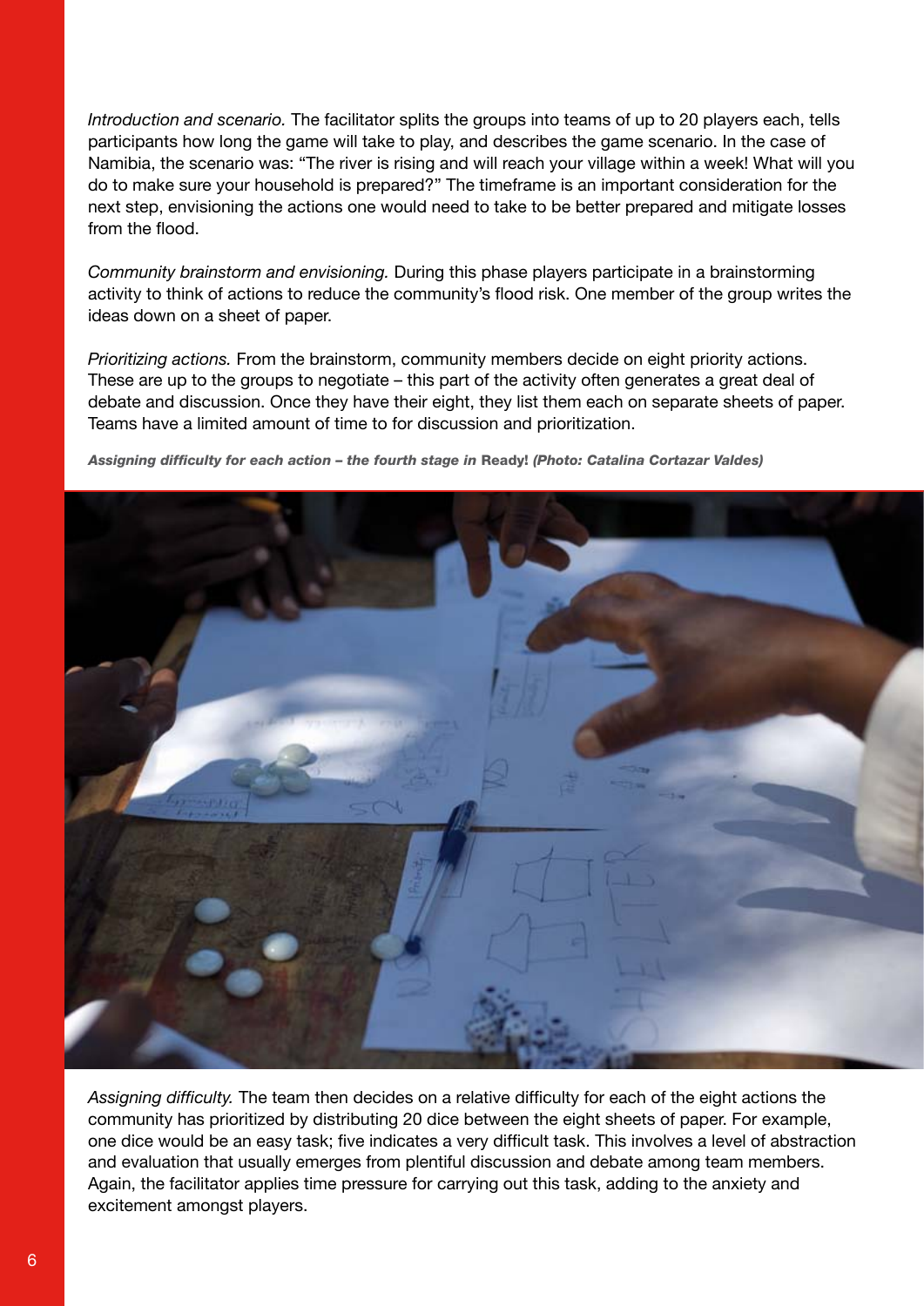*Introduction and scenario.* The facilitator splits the groups into teams of up to 20 players each, tells participants how long the game will take to play, and describes the game scenario. In the case of Namibia, the scenario was: "The river is rising and will reach your village within a week! What will you do to make sure your household is prepared?" The timeframe is an important consideration for the next step, envisioning the actions one would need to take to be better prepared and mitigate losses from the flood.

*Community brainstorm and envisioning.* During this phase players participate in a brainstorming activity to think of actions to reduce the community's flood risk. One member of the group writes the ideas down on a sheet of paper.

*Prioritizing actions.* From the brainstorm, community members decide on eight priority actions. These are up to the groups to negotiate – this part of the activity often generates a great deal of debate and discussion. Once they have their eight, they list them each on separate sheets of paper. Teams have a limited amount of time to for discussion and prioritization.

*Assigning difficulty for each action – the fourth stage in* Ready! *(Photo: Catalina Cortazar Valdes)*



*Assigning difficulty.* The team then decides on a relative difficulty for each of the eight actions the community has prioritized by distributing 20 dice between the eight sheets of paper. For example, one dice would be an easy task; five indicates a very difficult task. This involves a level of abstraction and evaluation that usually emerges from plentiful discussion and debate among team members. Again, the facilitator applies time pressure for carrying out this task, adding to the anxiety and excitement amongst players.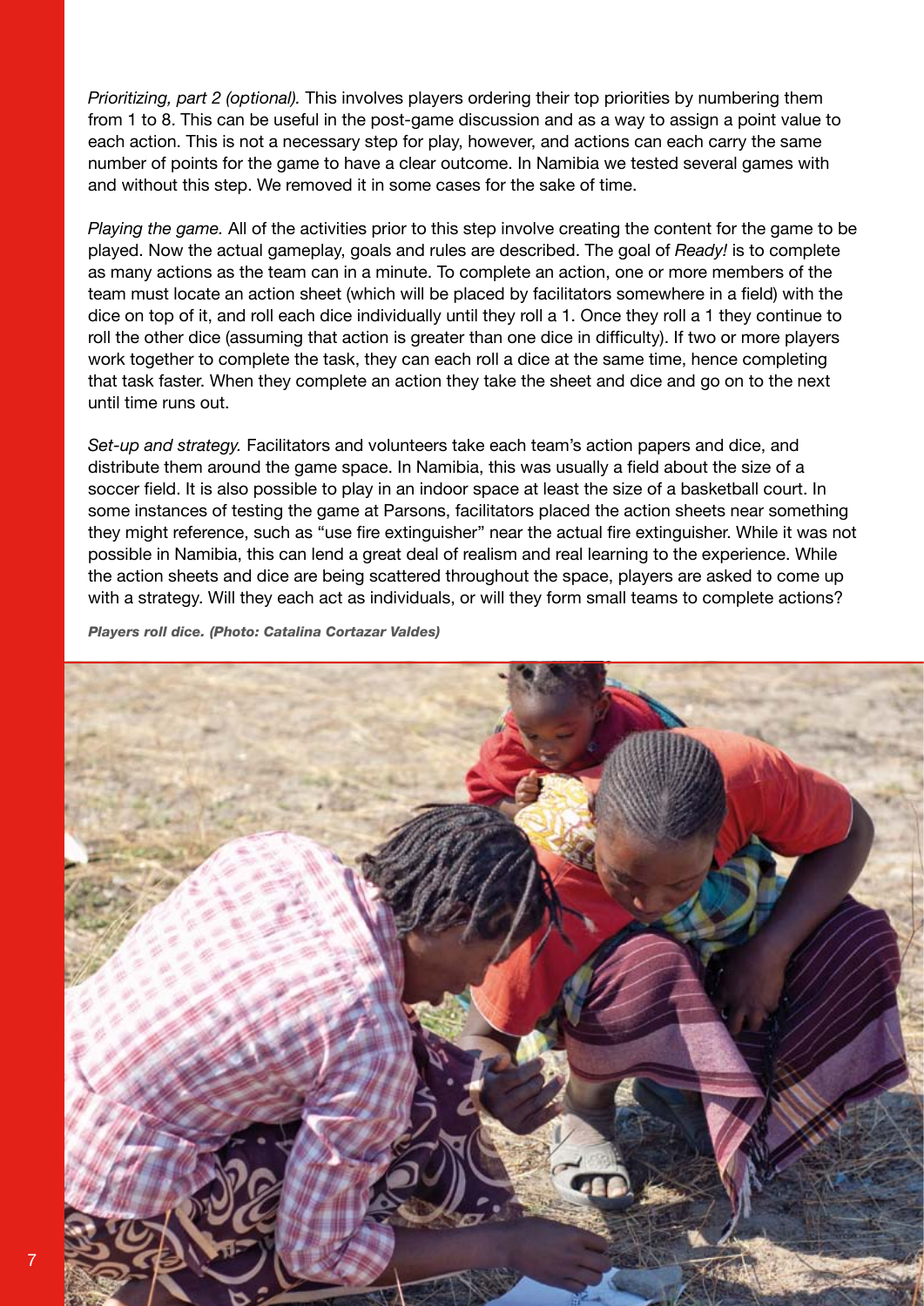*Prioritizing, part 2 (optional).* This involves players ordering their top priorities by numbering them from 1 to 8. This can be useful in the post-game discussion and as a way to assign a point value to each action. This is not a necessary step for play, however, and actions can each carry the same number of points for the game to have a clear outcome. In Namibia we tested several games with and without this step. We removed it in some cases for the sake of time.

*Playing the game.* All of the activities prior to this step involve creating the content for the game to be played. Now the actual gameplay, goals and rules are described. The goal of *Ready!* is to complete as many actions as the team can in a minute. To complete an action, one or more members of the team must locate an action sheet (which will be placed by facilitators somewhere in a field) with the dice on top of it, and roll each dice individually until they roll a 1. Once they roll a 1 they continue to roll the other dice (assuming that action is greater than one dice in difficulty). If two or more players work together to complete the task, they can each roll a dice at the same time, hence completing that task faster. When they complete an action they take the sheet and dice and go on to the next until time runs out.

*Set-up and strategy.* Facilitators and volunteers take each team's action papers and dice, and distribute them around the game space. In Namibia, this was usually a field about the size of a soccer field. It is also possible to play in an indoor space at least the size of a basketball court. In some instances of testing the game at Parsons, facilitators placed the action sheets near something they might reference, such as "use fire extinguisher" near the actual fire extinguisher. While it was not possible in Namibia, this can lend a great deal of realism and real learning to the experience. While the action sheets and dice are being scattered throughout the space, players are asked to come up with a strategy. Will they each act as individuals, or will they form small teams to complete actions?

*Players roll dice. (Photo: Catalina Cortazar Valdes)*

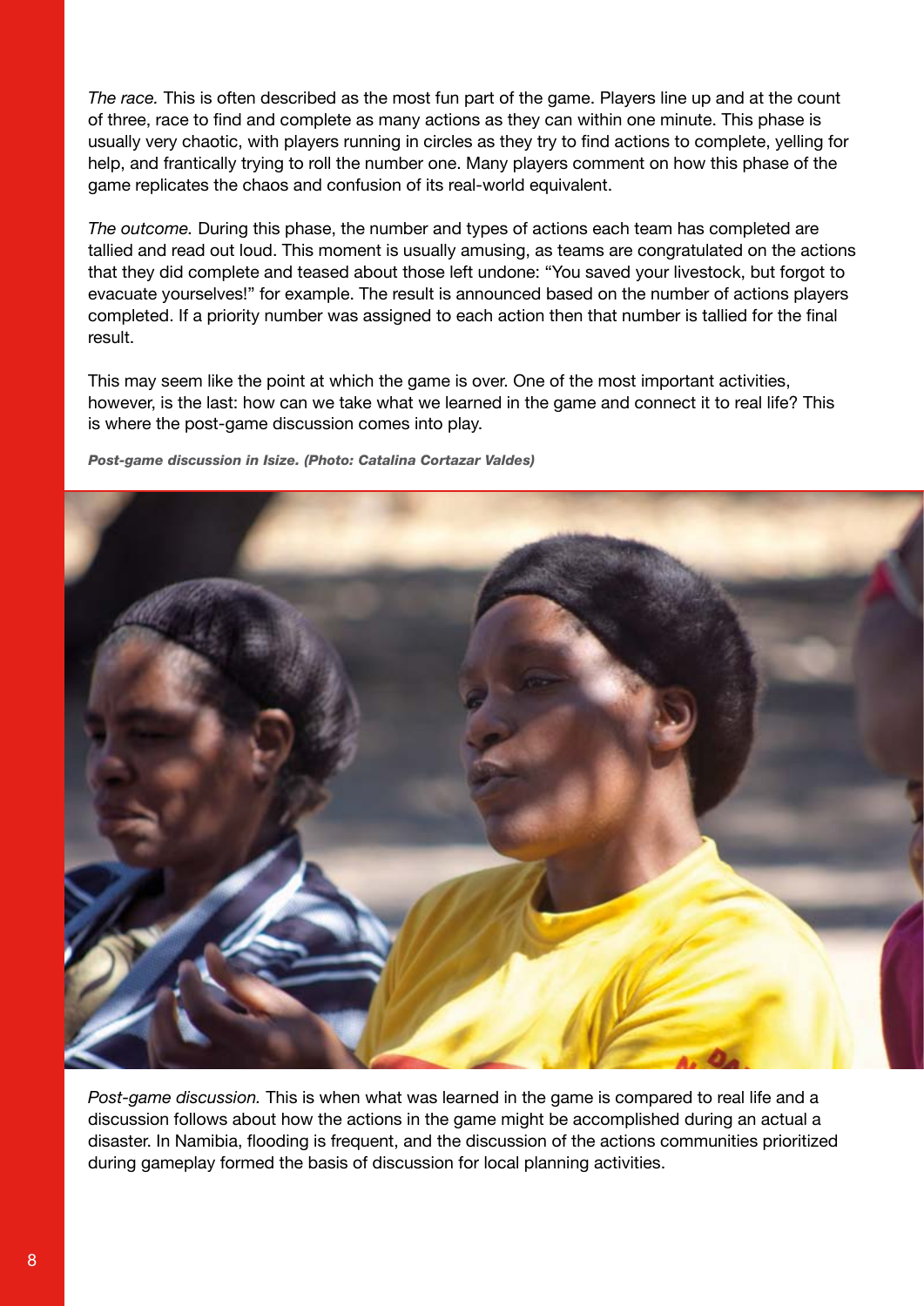*The race.* This is often described as the most fun part of the game. Players line up and at the count of three, race to find and complete as many actions as they can within one minute. This phase is usually very chaotic, with players running in circles as they try to find actions to complete, yelling for help, and frantically trying to roll the number one. Many players comment on how this phase of the game replicates the chaos and confusion of its real-world equivalent.

*The outcome.* During this phase, the number and types of actions each team has completed are tallied and read out loud. This moment is usually amusing, as teams are congratulated on the actions that they did complete and teased about those left undone: "You saved your livestock, but forgot to evacuate yourselves!" for example. The result is announced based on the number of actions players completed. If a priority number was assigned to each action then that number is tallied for the final result.

This may seem like the point at which the game is over. One of the most important activities, however, is the last: how can we take what we learned in the game and connect it to real life? This is where the post-game discussion comes into play.

*Post-game discussion in Isize. (Photo: Catalina Cortazar Valdes)*



*Post-game discussion.* This is when what was learned in the game is compared to real life and a discussion follows about how the actions in the game might be accomplished during an actual a disaster. In Namibia, flooding is frequent, and the discussion of the actions communities prioritized during gameplay formed the basis of discussion for local planning activities.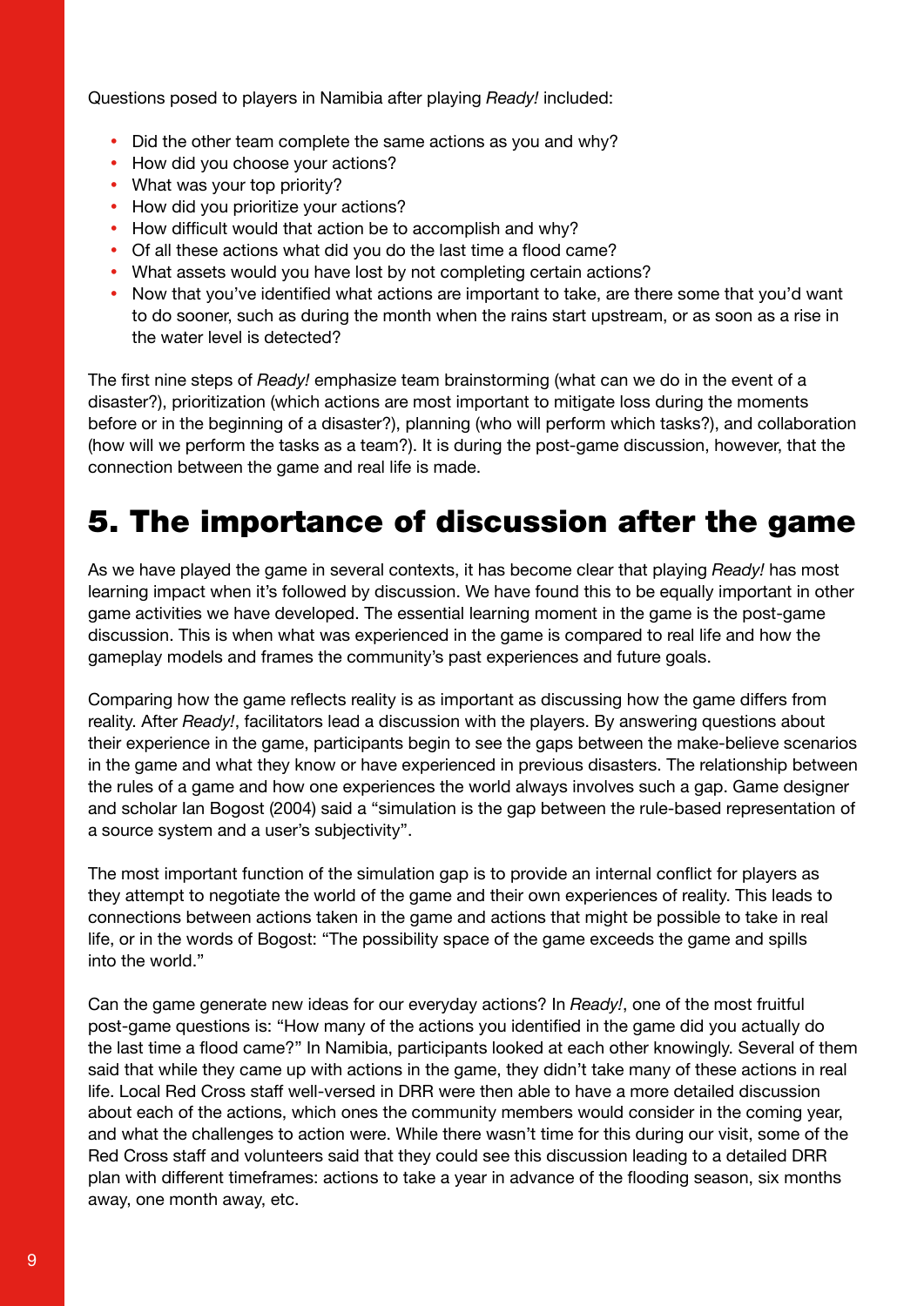Questions posed to players in Namibia after playing *Ready!* included:

- Did the other team complete the same actions as you and why?
- How did you choose your actions?
- What was your top priority?
- How did you prioritize your actions?
- How difficult would that action be to accomplish and why?
- Of all these actions what did you do the last time a flood came?
- What assets would you have lost by not completing certain actions?
- Now that you've identified what actions are important to take, are there some that you'd want to do sooner, such as during the month when the rains start upstream, or as soon as a rise in the water level is detected?

The first nine steps of *Ready!* emphasize team brainstorming (what can we do in the event of a disaster?), prioritization (which actions are most important to mitigate loss during the moments before or in the beginning of a disaster?), planning (who will perform which tasks?), and collaboration (how will we perform the tasks as a team?). It is during the post-game discussion, however, that the connection between the game and real life is made.

### 5. The importance of discussion after the game

As we have played the game in several contexts, it has become clear that playing *Ready!* has most learning impact when it's followed by discussion. We have found this to be equally important in other game activities we have developed. The essential learning moment in the game is the post-game discussion. This is when what was experienced in the game is compared to real life and how the gameplay models and frames the community's past experiences and future goals.

Comparing how the game reflects reality is as important as discussing how the game differs from reality. After *Ready!*, facilitators lead a discussion with the players. By answering questions about their experience in the game, participants begin to see the gaps between the make-believe scenarios in the game and what they know or have experienced in previous disasters. The relationship between the rules of a game and how one experiences the world always involves such a gap. Game designer and scholar Ian Bogost (2004) said a "simulation is the gap between the rule-based representation of a source system and a user's subjectivity".

The most important function of the simulation gap is to provide an internal conflict for players as they attempt to negotiate the world of the game and their own experiences of reality. This leads to connections between actions taken in the game and actions that might be possible to take in real life, or in the words of Bogost: "The possibility space of the game exceeds the game and spills into the world."

Can the game generate new ideas for our everyday actions? In *Ready!*, one of the most fruitful post-game questions is: "How many of the actions you identified in the game did you actually do the last time a flood came?" In Namibia, participants looked at each other knowingly. Several of them said that while they came up with actions in the game, they didn't take many of these actions in real life. Local Red Cross staff well-versed in DRR were then able to have a more detailed discussion about each of the actions, which ones the community members would consider in the coming year, and what the challenges to action were. While there wasn't time for this during our visit, some of the Red Cross staff and volunteers said that they could see this discussion leading to a detailed DRR plan with different timeframes: actions to take a year in advance of the flooding season, six months away, one month away, etc.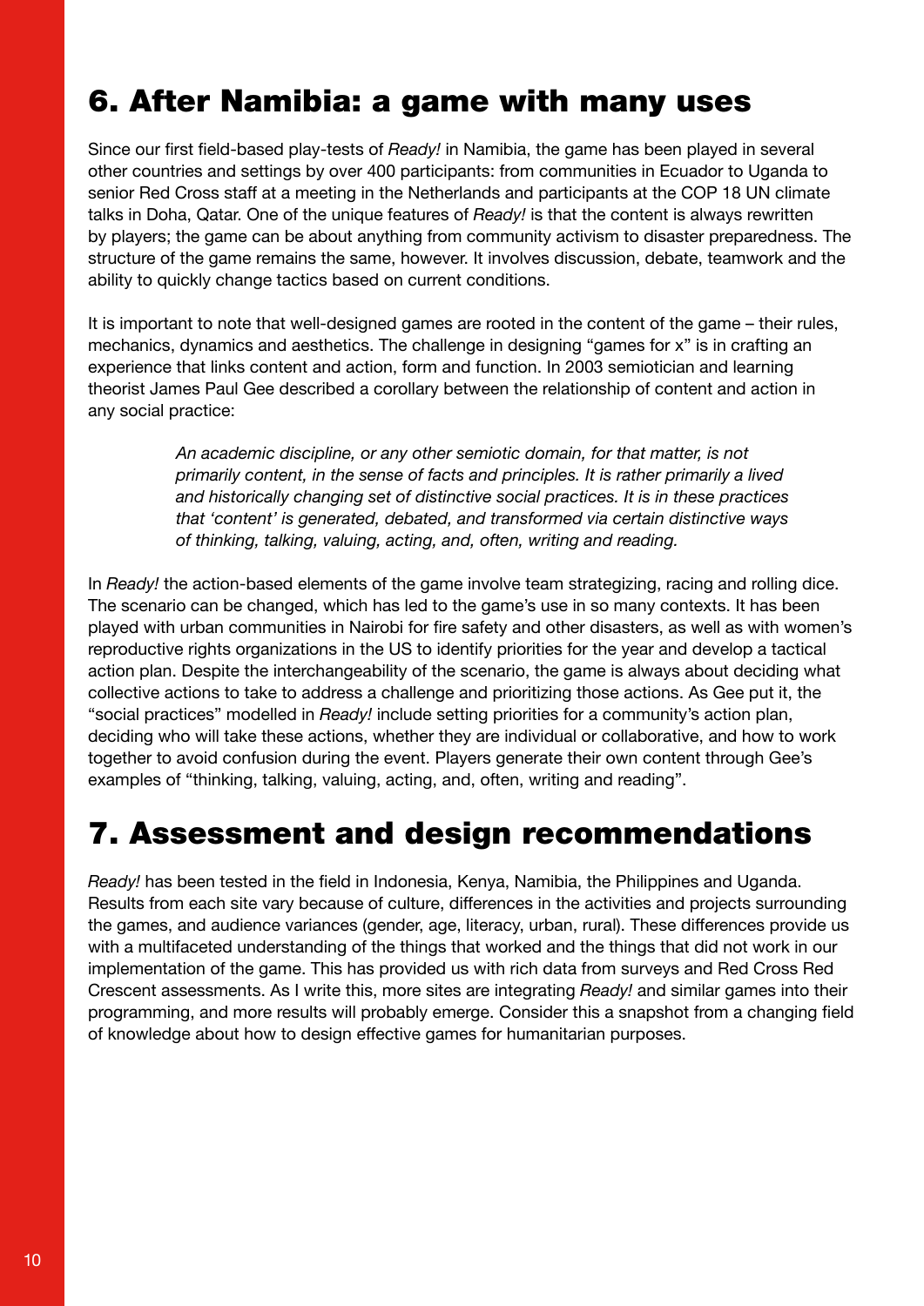## 6. After Namibia: a game with many uses

Since our first field-based play-tests of *Ready!* in Namibia, the game has been played in several other countries and settings by over 400 participants: from communities in Ecuador to Uganda to senior Red Cross staff at a meeting in the Netherlands and participants at the COP 18 UN climate talks in Doha, Qatar. One of the unique features of *Ready!* is that the content is always rewritten by players; the game can be about anything from community activism to disaster preparedness. The structure of the game remains the same, however. It involves discussion, debate, teamwork and the ability to quickly change tactics based on current conditions.

It is important to note that well-designed games are rooted in the content of the game – their rules, mechanics, dynamics and aesthetics. The challenge in designing "games for x" is in crafting an experience that links content and action, form and function. In 2003 semiotician and learning theorist James Paul Gee described a corollary between the relationship of content and action in any social practice:

> *An academic discipline, or any other semiotic domain, for that matter, is not primarily content, in the sense of facts and principles. It is rather primarily a lived and historically changing set of distinctive social practices. It is in these practices that 'content' is generated, debated, and transformed via certain distinctive ways of thinking, talking, valuing, acting, and, often, writing and reading.*

In *Ready!* the action-based elements of the game involve team strategizing, racing and rolling dice. The scenario can be changed, which has led to the game's use in so many contexts. It has been played with urban communities in Nairobi for fire safety and other disasters, as well as with women's reproductive rights organizations in the US to identify priorities for the year and develop a tactical action plan. Despite the interchangeability of the scenario, the game is always about deciding what collective actions to take to address a challenge and prioritizing those actions. As Gee put it, the "social practices" modelled in *Ready!* include setting priorities for a community's action plan, deciding who will take these actions, whether they are individual or collaborative, and how to work together to avoid confusion during the event. Players generate their own content through Gee's examples of "thinking, talking, valuing, acting, and, often, writing and reading".

#### 7. Assessment and design recommendations

*Ready!* has been tested in the field in Indonesia, Kenya, Namibia, the Philippines and Uganda. Results from each site vary because of culture, differences in the activities and projects surrounding the games, and audience variances (gender, age, literacy, urban, rural). These differences provide us with a multifaceted understanding of the things that worked and the things that did not work in our implementation of the game. This has provided us with rich data from surveys and Red Cross Red Crescent assessments. As I write this, more sites are integrating *Ready!* and similar games into their programming, and more results will probably emerge. Consider this a snapshot from a changing field of knowledge about how to design effective games for humanitarian purposes.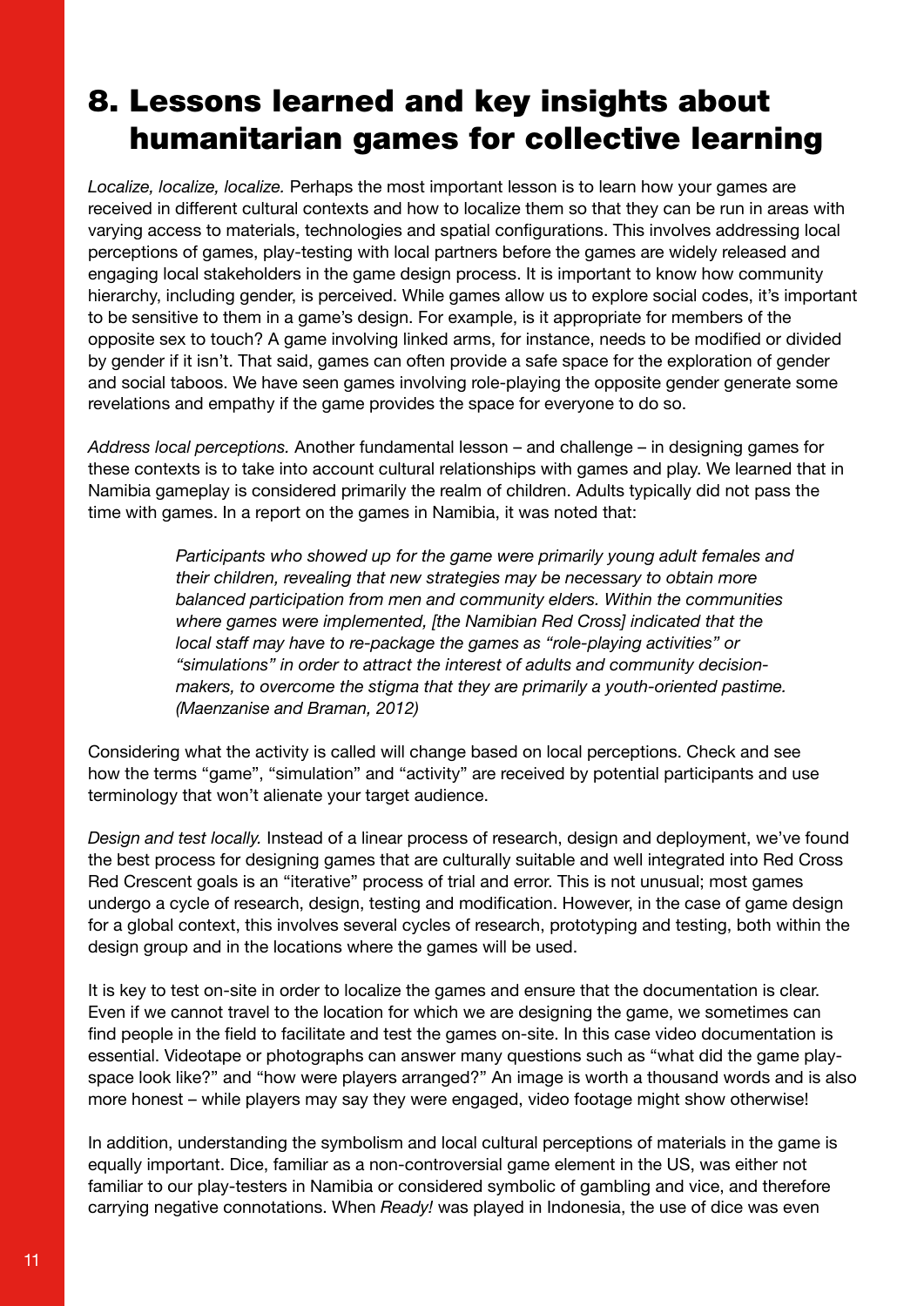#### 8. Lessons learned and key insights about humanitarian games for collective learning

*Localize, localize, localize.* Perhaps the most important lesson is to learn how your games are received in different cultural contexts and how to localize them so that they can be run in areas with varying access to materials, technologies and spatial configurations. This involves addressing local perceptions of games, play-testing with local partners before the games are widely released and engaging local stakeholders in the game design process. It is important to know how community hierarchy, including gender, is perceived. While games allow us to explore social codes, it's important to be sensitive to them in a game's design. For example, is it appropriate for members of the opposite sex to touch? A game involving linked arms, for instance, needs to be modified or divided by gender if it isn't. That said, games can often provide a safe space for the exploration of gender and social taboos. We have seen games involving role-playing the opposite gender generate some revelations and empathy if the game provides the space for everyone to do so.

*Address local perceptions.* Another fundamental lesson – and challenge – in designing games for these contexts is to take into account cultural relationships with games and play. We learned that in Namibia gameplay is considered primarily the realm of children. Adults typically did not pass the time with games. In a report on the games in Namibia, it was noted that:

> *Participants who showed up for the game were primarily young adult females and their children, revealing that new strategies may be necessary to obtain more balanced participation from men and community elders. Within the communities where games were implemented, [the Namibian Red Cross] indicated that the local staff may have to re-package the games as "role-playing activities" or "simulations" in order to attract the interest of adults and community decisionmakers, to overcome the stigma that they are primarily a youth-oriented pastime. (Maenzanise and Braman, 2012)*

Considering what the activity is called will change based on local perceptions. Check and see how the terms "game", "simulation" and "activity" are received by potential participants and use terminology that won't alienate your target audience.

*Design and test locally.* Instead of a linear process of research, design and deployment, we've found the best process for designing games that are culturally suitable and well integrated into Red Cross Red Crescent goals is an "iterative" process of trial and error. This is not unusual; most games undergo a cycle of research, design, testing and modification. However, in the case of game design for a global context, this involves several cycles of research, prototyping and testing, both within the design group and in the locations where the games will be used.

It is key to test on-site in order to localize the games and ensure that the documentation is clear. Even if we cannot travel to the location for which we are designing the game, we sometimes can find people in the field to facilitate and test the games on-site. In this case video documentation is essential. Videotape or photographs can answer many questions such as "what did the game playspace look like?" and "how were players arranged?" An image is worth a thousand words and is also more honest – while players may say they were engaged, video footage might show otherwise!

In addition, understanding the symbolism and local cultural perceptions of materials in the game is equally important. Dice, familiar as a non-controversial game element in the US, was either not familiar to our play-testers in Namibia or considered symbolic of gambling and vice, and therefore carrying negative connotations. When *Ready!* was played in Indonesia, the use of dice was even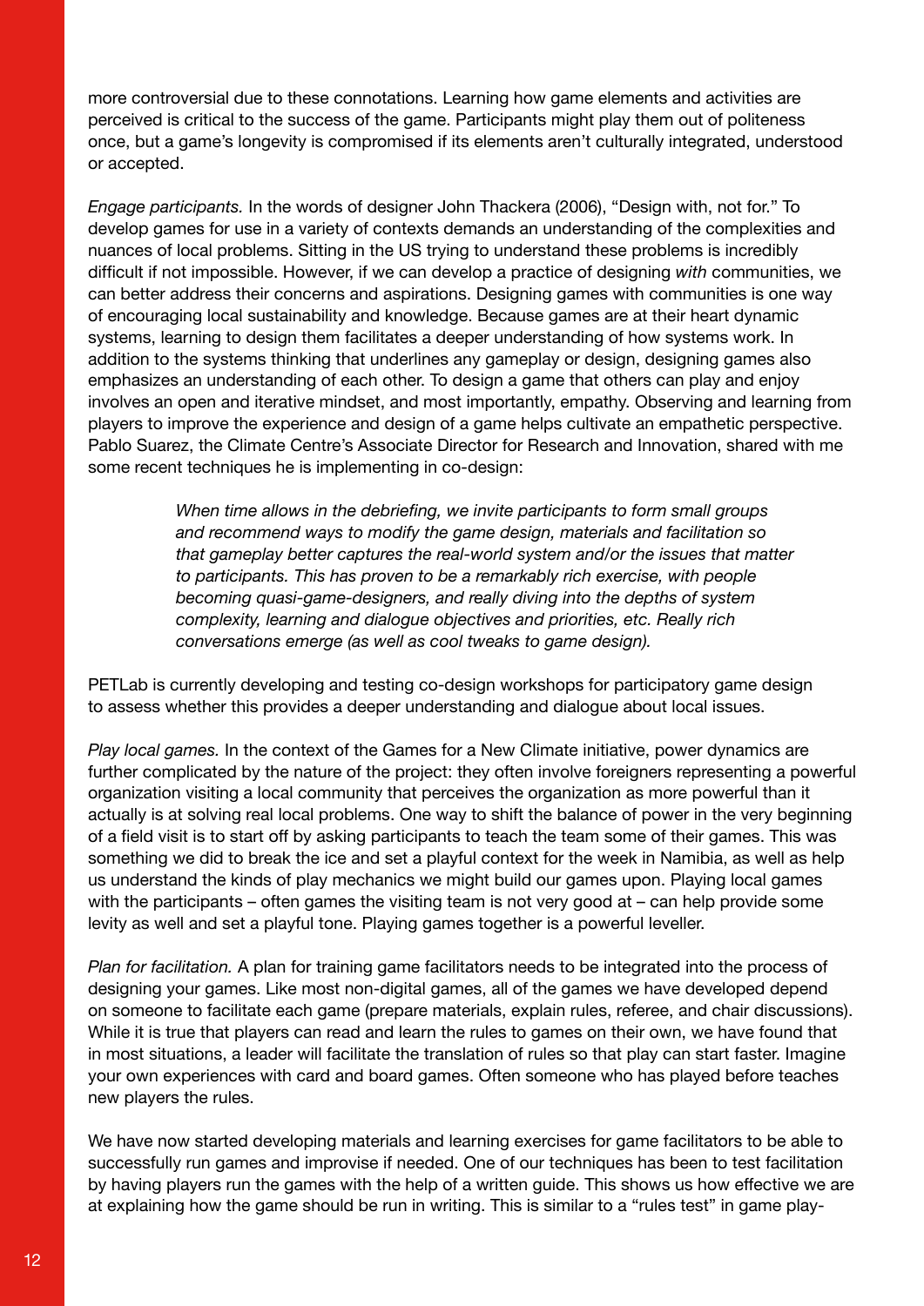more controversial due to these connotations. Learning how game elements and activities are perceived is critical to the success of the game. Participants might play them out of politeness once, but a game's longevity is compromised if its elements aren't culturally integrated, understood or accepted.

*Engage participants.* In the words of designer John Thackera (2006), "Design with, not for." To develop games for use in a variety of contexts demands an understanding of the complexities and nuances of local problems. Sitting in the US trying to understand these problems is incredibly difficult if not impossible. However, if we can develop a practice of designing *with* communities, we can better address their concerns and aspirations. Designing games with communities is one way of encouraging local sustainability and knowledge. Because games are at their heart dynamic systems, learning to design them facilitates a deeper understanding of how systems work. In addition to the systems thinking that underlines any gameplay or design, designing games also emphasizes an understanding of each other. To design a game that others can play and enjoy involves an open and iterative mindset, and most importantly, empathy. Observing and learning from players to improve the experience and design of a game helps cultivate an empathetic perspective. Pablo Suarez, the Climate Centre's Associate Director for Research and Innovation, shared with me some recent techniques he is implementing in co-design:

> *When time allows in the debriefing, we invite participants to form small groups and recommend ways to modify the game design, materials and facilitation so that gameplay better captures the real-world system and/or the issues that matter to participants. This has proven to be a remarkably rich exercise, with people becoming quasi-game-designers, and really diving into the depths of system complexity, learning and dialogue objectives and priorities, etc. Really rich conversations emerge (as well as cool tweaks to game design).*

PETLab is currently developing and testing co-design workshops for participatory game design to assess whether this provides a deeper understanding and dialogue about local issues.

*Play local games.* In the context of the Games for a New Climate initiative, power dynamics are further complicated by the nature of the project: they often involve foreigners representing a powerful organization visiting a local community that perceives the organization as more powerful than it actually is at solving real local problems. One way to shift the balance of power in the very beginning of a field visit is to start off by asking participants to teach the team some of their games. This was something we did to break the ice and set a playful context for the week in Namibia, as well as help us understand the kinds of play mechanics we might build our games upon. Playing local games with the participants – often games the visiting team is not very good at – can help provide some levity as well and set a playful tone. Playing games together is a powerful leveller.

*Plan for facilitation.* A plan for training game facilitators needs to be integrated into the process of designing your games. Like most non-digital games, all of the games we have developed depend on someone to facilitate each game (prepare materials, explain rules, referee, and chair discussions). While it is true that players can read and learn the rules to games on their own, we have found that in most situations, a leader will facilitate the translation of rules so that play can start faster. Imagine your own experiences with card and board games. Often someone who has played before teaches new players the rules.

We have now started developing materials and learning exercises for game facilitators to be able to successfully run games and improvise if needed. One of our techniques has been to test facilitation by having players run the games with the help of a written guide. This shows us how effective we are at explaining how the game should be run in writing. This is similar to a "rules test" in game play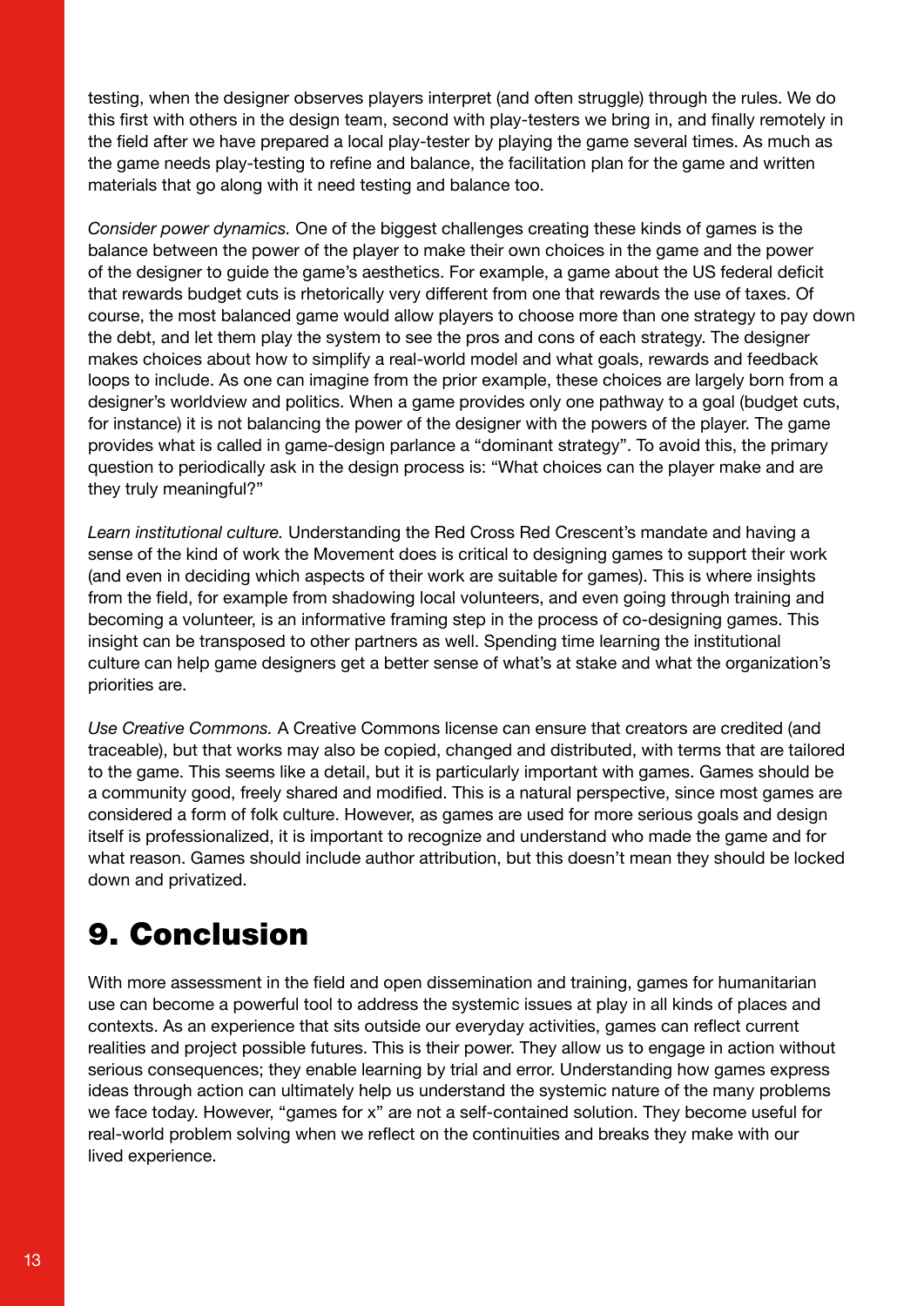testing, when the designer observes players interpret (and often struggle) through the rules. We do this first with others in the design team, second with play-testers we bring in, and finally remotely in the field after we have prepared a local play-tester by playing the game several times. As much as the game needs play-testing to refine and balance, the facilitation plan for the game and written materials that go along with it need testing and balance too.

*Consider power dynamics.* One of the biggest challenges creating these kinds of games is the balance between the power of the player to make their own choices in the game and the power of the designer to guide the game's aesthetics. For example, a game about the US federal deficit that rewards budget cuts is rhetorically very different from one that rewards the use of taxes. Of course, the most balanced game would allow players to choose more than one strategy to pay down the debt, and let them play the system to see the pros and cons of each strategy. The designer makes choices about how to simplify a real-world model and what goals, rewards and feedback loops to include. As one can imagine from the prior example, these choices are largely born from a designer's worldview and politics. When a game provides only one pathway to a goal (budget cuts, for instance) it is not balancing the power of the designer with the powers of the player. The game provides what is called in game-design parlance a "dominant strategy". To avoid this, the primary question to periodically ask in the design process is: "What choices can the player make and are they truly meaningful?"

*Learn institutional culture.* Understanding the Red Cross Red Crescent's mandate and having a sense of the kind of work the Movement does is critical to designing games to support their work (and even in deciding which aspects of their work are suitable for games). This is where insights from the field, for example from shadowing local volunteers, and even going through training and becoming a volunteer, is an informative framing step in the process of co-designing games. This insight can be transposed to other partners as well. Spending time learning the institutional culture can help game designers get a better sense of what's at stake and what the organization's priorities are.

*Use Creative Commons.* A Creative Commons license can ensure that creators are credited (and traceable), but that works may also be copied, changed and distributed, with terms that are tailored to the game. This seems like a detail, but it is particularly important with games. Games should be a community good, freely shared and modified. This is a natural perspective, since most games are considered a form of folk culture. However, as games are used for more serious goals and design itself is professionalized, it is important to recognize and understand who made the game and for what reason. Games should include author attribution, but this doesn't mean they should be locked down and privatized.

#### 9. Conclusion

With more assessment in the field and open dissemination and training, games for humanitarian use can become a powerful tool to address the systemic issues at play in all kinds of places and contexts. As an experience that sits outside our everyday activities, games can reflect current realities and project possible futures. This is their power. They allow us to engage in action without serious consequences; they enable learning by trial and error. Understanding how games express ideas through action can ultimately help us understand the systemic nature of the many problems we face today. However, "games for x" are not a self-contained solution. They become useful for real-world problem solving when we reflect on the continuities and breaks they make with our lived experience.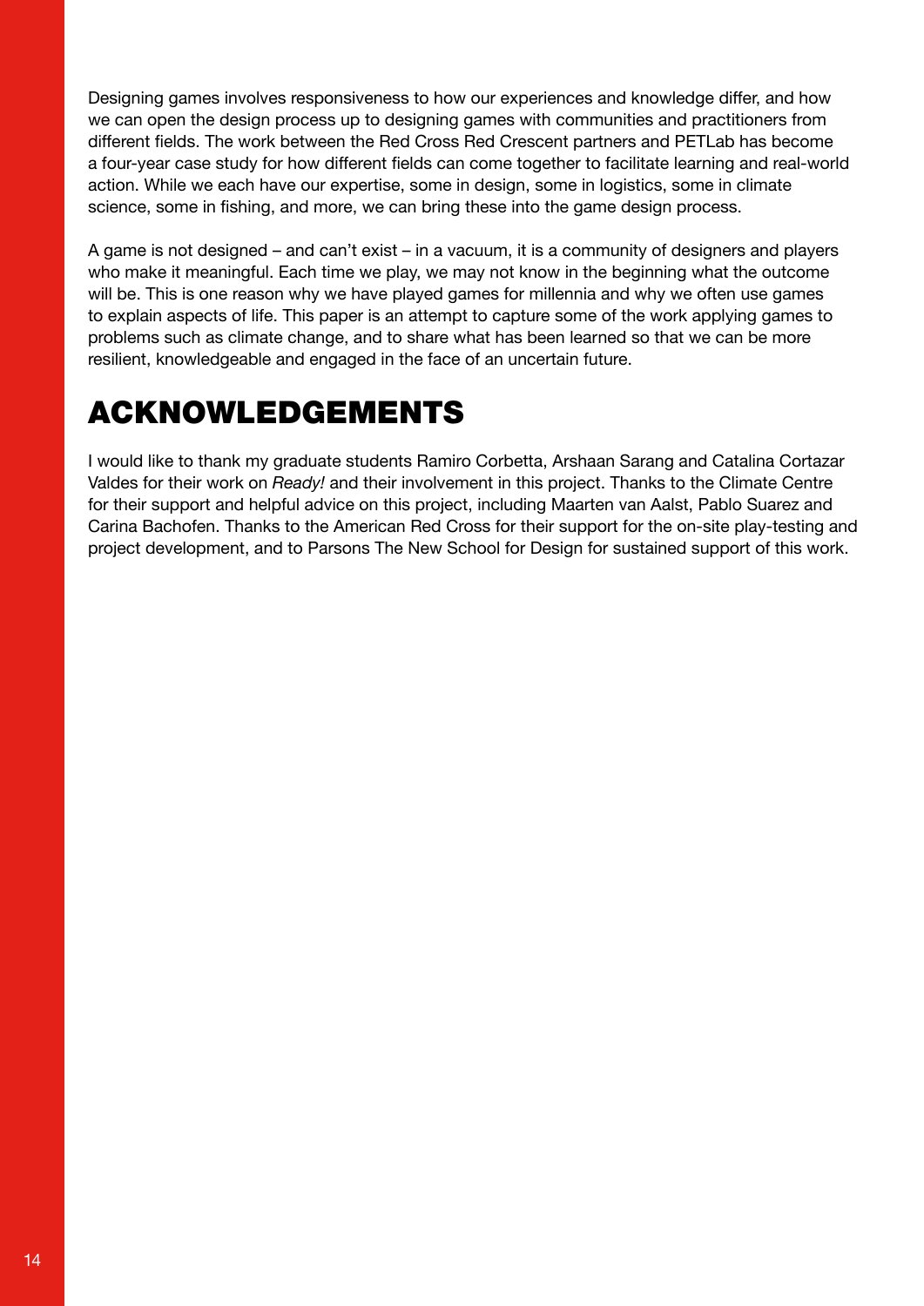Designing games involves responsiveness to how our experiences and knowledge differ, and how we can open the design process up to designing games with communities and practitioners from different fields. The work between the Red Cross Red Crescent partners and PETLab has become a four-year case study for how different fields can come together to facilitate learning and real-world action. While we each have our expertise, some in design, some in logistics, some in climate science, some in fishing, and more, we can bring these into the game design process.

A game is not designed – and can't exist – in a vacuum, it is a community of designers and players who make it meaningful. Each time we play, we may not know in the beginning what the outcome will be. This is one reason why we have played games for millennia and why we often use games to explain aspects of life. This paper is an attempt to capture some of the work applying games to problems such as climate change, and to share what has been learned so that we can be more resilient, knowledgeable and engaged in the face of an uncertain future.

# ACKNOWLEDGEMENTS

I would like to thank my graduate students Ramiro Corbetta, Arshaan Sarang and Catalina Cortazar Valdes for their work on *Ready!* and their involvement in this project. Thanks to the Climate Centre for their support and helpful advice on this project, including Maarten van Aalst, Pablo Suarez and Carina Bachofen. Thanks to the American Red Cross for their support for the on-site play-testing and project development, and to Parsons The New School for Design for sustained support of this work.